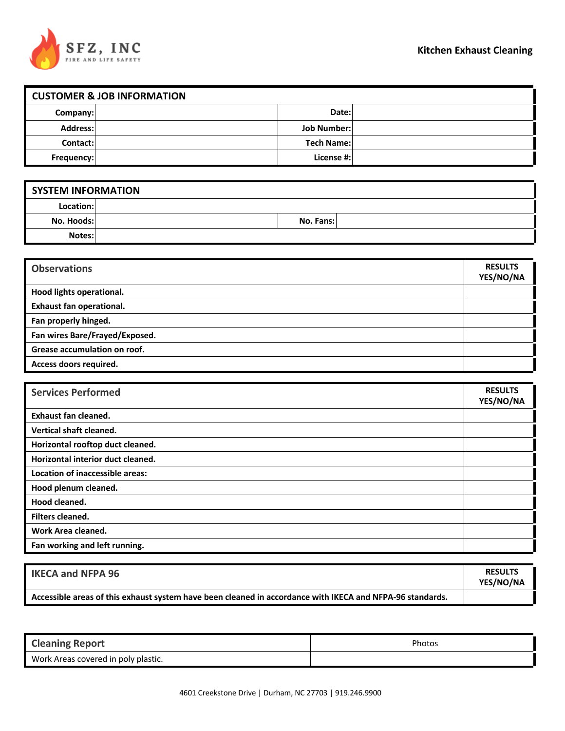

| <b>CUSTOMER &amp; JOB INFORMATION</b> |  |                    |  |
|---------------------------------------|--|--------------------|--|
| Company:                              |  | Date:              |  |
| <b>Address:</b>                       |  | <b>Job Number:</b> |  |
| Contact:                              |  | <b>Tech Name:</b>  |  |
| Frequency:                            |  | License #:         |  |

| <b>SYSTEM INFORMATION</b> |  |           |  |
|---------------------------|--|-----------|--|
| Location:                 |  |           |  |
| No. Hoods:                |  | No. Fans: |  |
| Notes:                    |  |           |  |

| <b>Observations</b>             | <b>RESULTS</b><br>YES/NO/NA |
|---------------------------------|-----------------------------|
| Hood lights operational.        |                             |
| <b>Exhaust fan operational.</b> |                             |
| Fan properly hinged.            |                             |
| Fan wires Bare/Frayed/Exposed.  |                             |
| Grease accumulation on roof.    |                             |
| Access doors required.          |                             |

| <b>Services Performed</b>         | <b>RESULTS</b><br>YES/NO/NA |
|-----------------------------------|-----------------------------|
| <b>Exhaust fan cleaned.</b>       |                             |
| Vertical shaft cleaned.           |                             |
| Horizontal rooftop duct cleaned.  |                             |
| Horizontal interior duct cleaned. |                             |
| Location of inaccessible areas:   |                             |
| Hood plenum cleaned.              |                             |
| Hood cleaned.                     |                             |
| Filters cleaned.                  |                             |
| Work Area cleaned.                |                             |
| Fan working and left running.     |                             |

| <b>IKECA and NFPA 96</b>                                                                                  | <b>RESULTS</b><br>YES/NO/NA |
|-----------------------------------------------------------------------------------------------------------|-----------------------------|
| Accessible areas of this exhaust system have been cleaned in accordance with IKECA and NFPA-96 standards. |                             |

| <b>Cleaning Report</b>              | Photos |
|-------------------------------------|--------|
| Work Areas covered in poly plastic. |        |